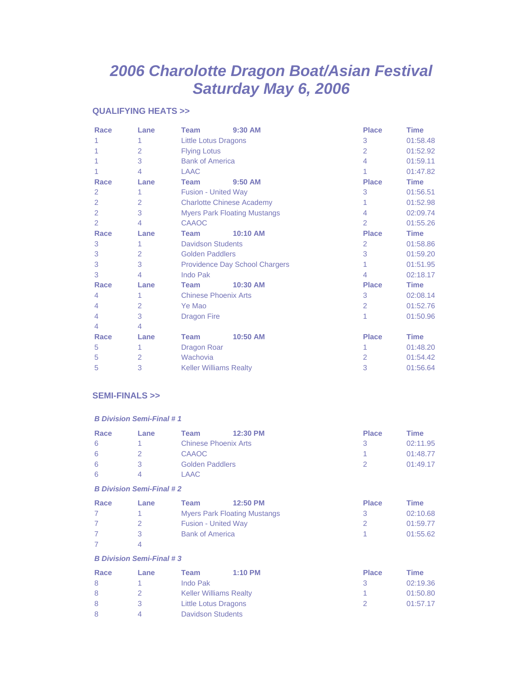# *2006 Charolotte Dragon Boat/Asian Festival Saturday May 6, 2006*

#### **QUALIFYING HEATS >>**

| Race           | Lane           | <b>Team</b>                      | 9:30 AM                               | <b>Place</b>   | <b>Time</b> |
|----------------|----------------|----------------------------------|---------------------------------------|----------------|-------------|
| 1              | 1              | <b>Little Lotus Dragons</b>      |                                       | 3              | 01:58.48    |
|                | $\overline{2}$ | <b>Flying Lotus</b>              |                                       | $\overline{2}$ | 01:52.92    |
|                | 3              | <b>Bank of America</b>           |                                       | $\overline{4}$ | 01:59.11    |
|                | $\overline{4}$ | <b>LAAC</b>                      |                                       |                | 01:47.82    |
| Race           | Lane           | <b>Team</b>                      | $9:50$ AM                             | <b>Place</b>   | <b>Time</b> |
| 2              | 1              | <b>Fusion - United Way</b>       |                                       | 3              | 01:56.51    |
| $\overline{2}$ | $\overline{2}$ | <b>Charlotte Chinese Academy</b> |                                       |                | 01:52.98    |
| $\overline{2}$ | 3              |                                  | <b>Myers Park Floating Mustangs</b>   | 4              | 02:09.74    |
| 2              | 4              | CAAOC                            |                                       | 2              | 01:55.26    |
| Race           | Lane           | <b>Team</b>                      | 10:10 AM                              | <b>Place</b>   | <b>Time</b> |
| 3              | 1              | <b>Davidson Students</b>         |                                       | 2              | 01:58.86    |
| 3              | 2              | <b>Golden Paddlers</b>           |                                       | 3              | 01:59.20    |
| 3              | 3              |                                  | <b>Providence Day School Chargers</b> | 1              | 01:51.95    |
| 3              | 4              | <b>Indo Pak</b>                  |                                       | $\overline{4}$ | 02:18.17    |
| Race           | Lane           | <b>Team</b>                      | 10:30 AM                              | <b>Place</b>   | <b>Time</b> |
| 4              | 1              | <b>Chinese Phoenix Arts</b>      |                                       | 3              | 02:08.14    |
| 4              | $\overline{2}$ | Ye Mao                           |                                       | 2              | 01:52.76    |
| 4              | 3              | <b>Dragon Fire</b>               |                                       | 1              | 01:50.96    |
| 4              | $\overline{4}$ |                                  |                                       |                |             |
| Race           | Lane           | <b>Team</b>                      | 10:50 AM                              | <b>Place</b>   | <b>Time</b> |
| 5              | 1              | <b>Dragon Roar</b>               |                                       |                | 01:48.20    |
| 5              | $\overline{2}$ | Wachovia                         |                                       | $\overline{2}$ | 01:54.42    |
| 5              | 3              | <b>Keller Williams Realty</b>    |                                       | 3              | 01:56.64    |

# **SEMI-FINALS >>**

#### *B Division Semi-Final # 1*

| Race | Lane | Team                        | 12:30 PM | <b>Place</b> | <b>Fime</b> |
|------|------|-----------------------------|----------|--------------|-------------|
| 6    |      | <b>Chinese Phoenix Arts</b> |          |              | 02:11.95    |
| 6    |      | <b>CAAOC</b>                |          |              | 01:48.77    |
| 6    |      | <b>Golden Paddlers</b>      |          |              | 01:49.17    |
| 6    |      | LAAC                        |          |              |             |

#### *B Division Semi-Final # 2*

| Race | Lane | Team                       | 12:50 PM                            | <b>Place</b> | <b>Time</b> |
|------|------|----------------------------|-------------------------------------|--------------|-------------|
|      |      |                            | <b>Myers Park Floating Mustangs</b> |              | 02:10.68    |
|      |      | <b>Fusion - United Way</b> |                                     |              | 01:59.77    |
|      |      | <b>Bank of America</b>     |                                     |              | 01:55.62    |
|      |      |                            |                                     |              |             |

#### *B Division Semi-Final # 3*

| Race | Lane | Team                     | $1:10$ PM                     | <b>Place</b> | <b>Time</b> |
|------|------|--------------------------|-------------------------------|--------------|-------------|
| -8   |      | Indo Pak                 |                               |              | 02:19.36    |
| 8    |      |                          | <b>Keller Williams Realty</b> |              | 01:50.80    |
| 8    |      | Little Lotus Dragons     |                               |              | 01:57.17    |
| -8   | Δ.   | <b>Davidson Students</b> |                               |              |             |